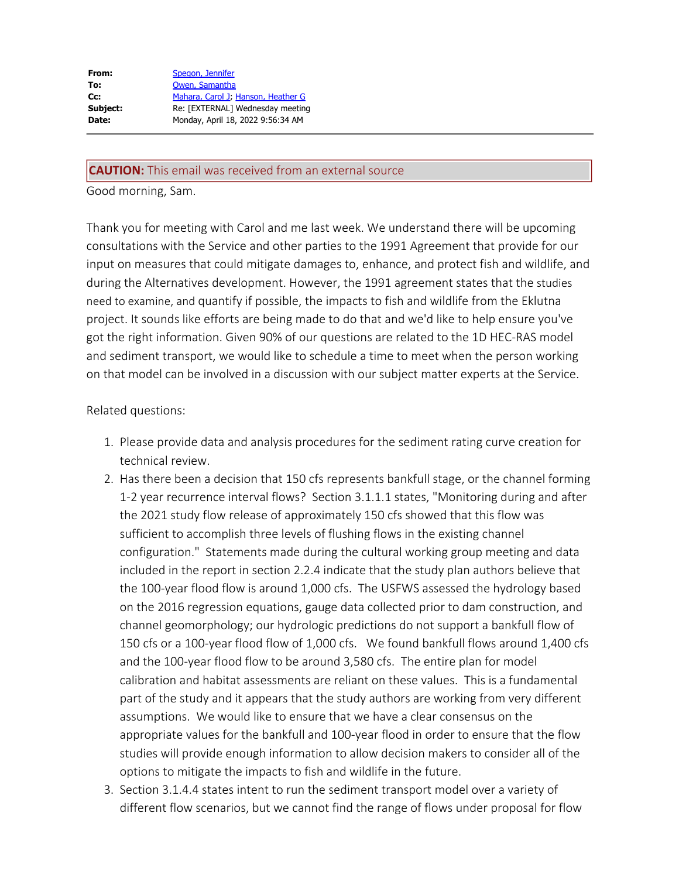| From:    | Spegon, Jennifer                   |
|----------|------------------------------------|
| To:      | Owen, Samantha                     |
| Cc:      | Mahara, Carol J, Hanson, Heather G |
| Subject: | Re: [EXTERNAL] Wednesday meeting   |
| Date:    | Monday, April 18, 2022 9:56:34 AM  |
|          |                                    |

## **CAUTION:** This email was received from an external source

Good morning, Sam.

Thank you for meeting with Carol and me last week. We understand there will be upcoming consultations with the Service and other parties to the 1991 Agreement that provide for our input on measures that could mitigate damages to, enhance, and protect fish and wildlife, and during the Alternatives development. However, the 1991 agreement states that the studies need to examine, and quantify if possible, the impacts to fish and wildlife from the Eklutna project. It sounds like efforts are being made to do that and we'd like to help ensure you've got the right information. Given 90% of our questions are related to the 1D HEC-RAS model and sediment transport, we would like to schedule a time to meet when the person working on that model can be involved in a discussion with our subject matter experts at the Service.

## Related questions:

- 1. Please provide data and analysis procedures for the sediment rating curve creation for technical review.
- 2. Has there been a decision that 150 cfs represents bankfull stage, or the channel forming 1-2 year recurrence interval flows? Section 3.1.1.1 states, "Monitoring during and after the 2021 study flow release of approximately 150 cfs showed that this flow was sufficient to accomplish three levels of flushing flows in the existing channel configuration." Statements made during the cultural working group meeting and data included in the report in section 2.2.4 indicate that the study plan authors believe that the 100-year flood flow is around 1,000 cfs. The USFWS assessed the hydrology based on the 2016 regression equations, gauge data collected prior to dam construction, and channel geomorphology; our hydrologic predictions do not support a bankfull flow of 150 cfs or a 100-year flood flow of 1,000 cfs. We found bankfull flows around 1,400 cfs and the 100-year flood flow to be around 3,580 cfs. The entire plan for model calibration and habitat assessments are reliant on these values. This is a fundamental part of the study and it appears that the study authors are working from very different assumptions. We would like to ensure that we have a clear consensus on the appropriate values for the bankfull and 100-year flood in order to ensure that the flow studies will provide enough information to allow decision makers to consider all of the options to mitigate the impacts to fish and wildlife in the future.
- 3. Section 3.1.4.4 states intent to run the sediment transport model over a variety of different flow scenarios, but we cannot find the range of flows under proposal for flow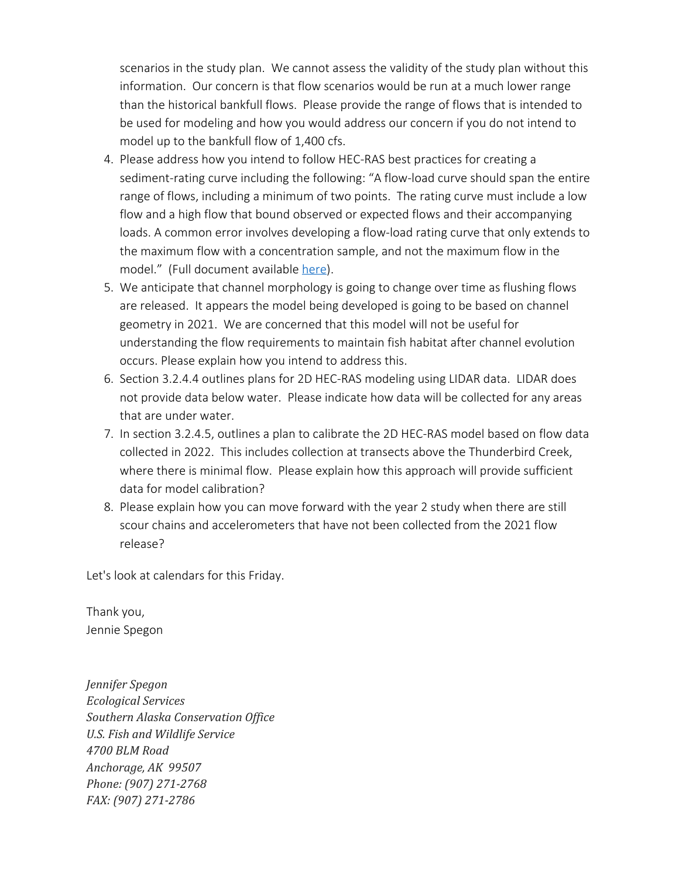scenarios in the study plan. We cannot assess the validity of the study plan without this information. Our concern is that flow scenarios would be run at a much lower range than the historical bankfull flows. Please provide the range of flows that is intended to be used for modeling and how you would address our concern if you do not intend to model up to the bankfull flow of 1,400 cfs.

- 4. Please address how you intend to follow HEC-RAS best practices for creating a sediment-rating curve including the following: "A flow-load curve should span the entire range of flows, including a minimum of two points. The rating curve must include a low flow and a high flow that bound observed or expected flows and their accompanying loads. A common error involves developing a flow-load rating curve that only extends to the maximum flow with a concentration sample, and not the maximum flow in the model." (Full document available [here](https://gcc02.safelinks.protection.outlook.com/?url=https%3A%2F%2Fwww.hec.usace.army.mil%2Fconfluence%2Frasdocs%2Frassed1d%2F1d-sediment-transport-user-s-manual%2Fentering-and-editing-sediment-data%2Fsediment-boundary-conditions%2Frating-curve%2Fcreating-a-sediment-rating-curve-best-practices&data=04%7C01%7Cjennifer_j_spegon%40fws.gov%7Cf1cebda9d1454b4e9d7508da208ebd68%7C0693b5ba4b184d7b9341f32f400a5494%7C0%7C0%7C637858094673081345%7CUnknown%7CTWFpbGZsb3d8eyJWIjoiMC4wLjAwMDAiLCJQIjoiV2luMzIiLCJBTiI6Ik1haWwiLCJXVCI6Mn0%3D%7C3000&sdata=nPqBLcPqEK2sg329nfISyKLnjNbdf%2F%2ByNBFvVzrNp%2FQ%3D&reserved=0)).
- 5. We anticipate that channel morphology is going to change over time as flushing flows are released. It appears the model being developed is going to be based on channel geometry in 2021. We are concerned that this model will not be useful for understanding the flow requirements to maintain fish habitat after channel evolution occurs. Please explain how you intend to address this.
- 6. Section 3.2.4.4 outlines plans for 2D HEC-RAS modeling using LIDAR data. LIDAR does not provide data below water. Please indicate how data will be collected for any areas that are under water.
- 7. In section 3.2.4.5, outlines a plan to calibrate the 2D HEC-RAS model based on flow data collected in 2022. This includes collection at transects above the Thunderbird Creek, where there is minimal flow. Please explain how this approach will provide sufficient data for model calibration?
- 8. Please explain how you can move forward with the year 2 study when there are still scour chains and accelerometers that have not been collected from the 2021 flow release?

Let's look at calendars for this Friday.

Thank you, Jennie Spegon

*Jennifer Spegon Ecological Services Southern Alaska Conservation Office U.S. Fish and Wildlife Service 4700 BLM Road Anchorage, AK 99507 Phone: (907) 271-2768 FAX: (907) 271-2786*